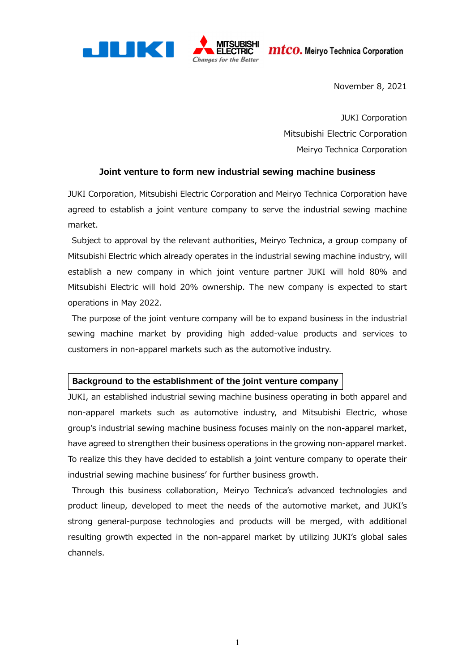$\boldsymbol{m}$ t $\boldsymbol{c}$ o. Meiryo Technica Corporation



November 8, 2021

JUKI Corporation Mitsubishi Electric Corporation Meiryo Technica Corporation

#### **Joint venture to form new industrial sewing machine business**

JUKI Corporation, Mitsubishi Electric Corporation and Meiryo Technica Corporation have agreed to establish a joint venture company to serve the industrial sewing machine market.

Subject to approval by the relevant authorities, Meiryo Technica, a group company of Mitsubishi Electric which already operates in the industrial sewing machine industry, will establish a new company in which joint venture partner JUKI will hold 80% and Mitsubishi Electric will hold 20% ownership. The new company is expected to start operations in May 2022.

The purpose of the joint venture company will be to expand business in the industrial sewing machine market by providing high added-value products and services to customers in non-apparel markets such as the automotive industry.

#### **Background to the establishment of the joint venture company**

JUKI, an established industrial sewing machine business operating in both apparel and non-apparel markets such as automotive industry, and Mitsubishi Electric, whose group's industrial sewing machine business focuses mainly on the non-apparel market, have agreed to strengthen their business operations in the growing non-apparel market. To realize this they have decided to establish a joint venture company to operate their industrial sewing machine business' for further business growth.

 Through this business collaboration, Meiryo Technica's advanced technologies and product lineup, developed to meet the needs of the automotive market, and JUKI's strong general-purpose technologies and products will be merged, with additional resulting growth expected in the non-apparel market by utilizing JUKI's global sales channels.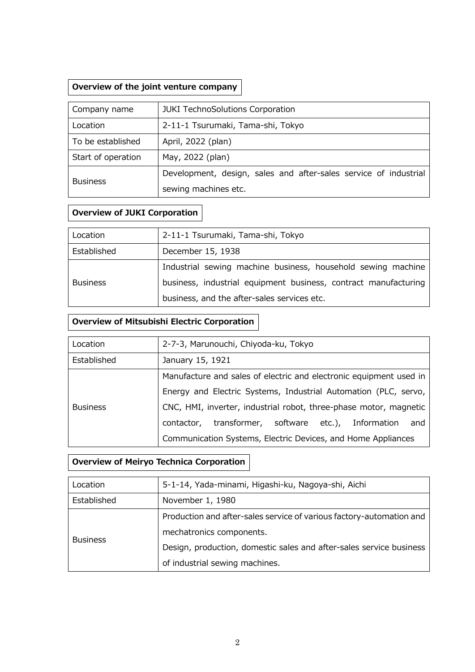## **Overview of the joint venture company**

| Company name       | <b>JUKI TechnoSolutions Corporation</b>                          |
|--------------------|------------------------------------------------------------------|
| Location           | 2-11-1 Tsurumaki, Tama-shi, Tokyo                                |
| To be established  | April, 2022 (plan)                                               |
| Start of operation | May, 2022 (plan)                                                 |
| <b>Business</b>    | Development, design, sales and after-sales service of industrial |
|                    | sewing machines etc.                                             |

## **Overview of JUKI Corporation**

| Location        | 2-11-1 Tsurumaki, Tama-shi, Tokyo                               |
|-----------------|-----------------------------------------------------------------|
| Established     | December 15, 1938                                               |
| <b>Business</b> | Industrial sewing machine business, household sewing machine    |
|                 | business, industrial equipment business, contract manufacturing |
|                 | business, and the after-sales services etc.                     |

## **Overview of Mitsubishi Electric Corporation**

| Location        | 2-7-3, Marunouchi, Chiyoda-ku, Tokyo                               |
|-----------------|--------------------------------------------------------------------|
| Established     | January 15, 1921                                                   |
| <b>Business</b> | Manufacture and sales of electric and electronic equipment used in |
|                 | Energy and Electric Systems, Industrial Automation (PLC, servo,    |
|                 | CNC, HMI, inverter, industrial robot, three-phase motor, magnetic  |
|                 | transformer, software etc.), Information<br>contactor,<br>and      |
|                 | Communication Systems, Electric Devices, and Home Appliances       |

# **Overview of Meiryo Technica Corporation**

| Location        | 5-1-14, Yada-minami, Higashi-ku, Nagoya-shi, Aichi                   |
|-----------------|----------------------------------------------------------------------|
| Established     | November 1, 1980                                                     |
| <b>Business</b> | Production and after-sales service of various factory-automation and |
|                 | mechatronics components.                                             |
|                 | Design, production, domestic sales and after-sales service business  |
|                 | of industrial sewing machines.                                       |